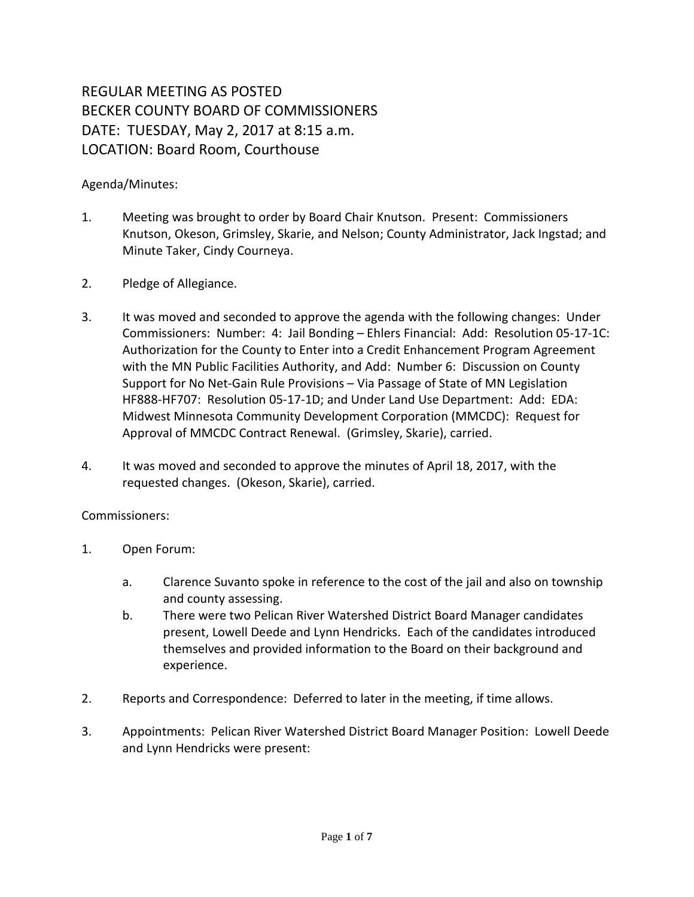## REGULAR MEETING AS POSTED BECKER COUNTY BOARD OF COMMISSIONERS DATE: TUESDAY, May 2, 2017 at 8:15 a.m. LOCATION: Board Room, Courthouse

## Agenda/Minutes:

- 1. Meeting was brought to order by Board Chair Knutson. Present: Commissioners Knutson, Okeson, Grimsley, Skarie, and Nelson; County Administrator, Jack Ingstad; and Minute Taker, Cindy Courneya.
- 2. Pledge of Allegiance.
- 3. It was moved and seconded to approve the agenda with the following changes: Under Commissioners: Number: 4: Jail Bonding – Ehlers Financial: Add: Resolution 05-17-1C: Authorization for the County to Enter into a Credit Enhancement Program Agreement with the MN Public Facilities Authority, and Add: Number 6: Discussion on County Support for No Net-Gain Rule Provisions – Via Passage of State of MN Legislation HF888-HF707: Resolution 05-17-1D; and Under Land Use Department: Add: EDA: Midwest Minnesota Community Development Corporation (MMCDC): Request for Approval of MMCDC Contract Renewal. (Grimsley, Skarie), carried.
- 4. It was moved and seconded to approve the minutes of April 18, 2017, with the requested changes. (Okeson, Skarie), carried.

## Commissioners:

- 1. Open Forum:
	- a. Clarence Suvanto spoke in reference to the cost of the jail and also on township and county assessing.
	- b. There were two Pelican River Watershed District Board Manager candidates present, Lowell Deede and Lynn Hendricks. Each of the candidates introduced themselves and provided information to the Board on their background and experience.
- 2. Reports and Correspondence: Deferred to later in the meeting, if time allows.
- 3. Appointments: Pelican River Watershed District Board Manager Position: Lowell Deede and Lynn Hendricks were present: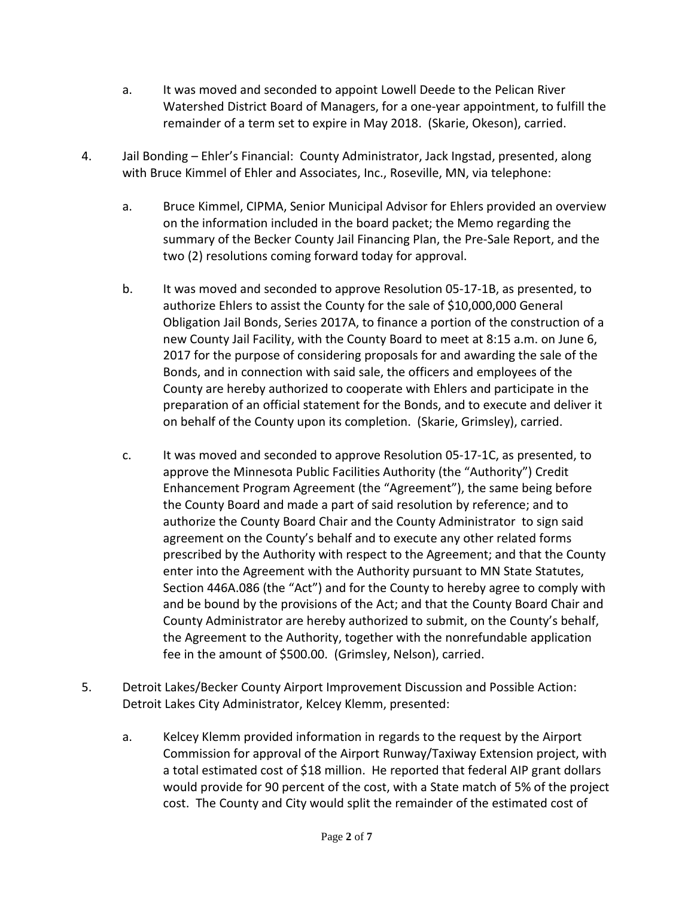- a. It was moved and seconded to appoint Lowell Deede to the Pelican River Watershed District Board of Managers, for a one-year appointment, to fulfill the remainder of a term set to expire in May 2018. (Skarie, Okeson), carried.
- 4. Jail Bonding Ehler's Financial: County Administrator, Jack Ingstad, presented, along with Bruce Kimmel of Ehler and Associates, Inc., Roseville, MN, via telephone:
	- a. Bruce Kimmel, CIPMA, Senior Municipal Advisor for Ehlers provided an overview on the information included in the board packet; the Memo regarding the summary of the Becker County Jail Financing Plan, the Pre-Sale Report, and the two (2) resolutions coming forward today for approval.
	- b. It was moved and seconded to approve Resolution 05-17-1B, as presented, to authorize Ehlers to assist the County for the sale of \$10,000,000 General Obligation Jail Bonds, Series 2017A, to finance a portion of the construction of a new County Jail Facility, with the County Board to meet at 8:15 a.m. on June 6, 2017 for the purpose of considering proposals for and awarding the sale of the Bonds, and in connection with said sale, the officers and employees of the County are hereby authorized to cooperate with Ehlers and participate in the preparation of an official statement for the Bonds, and to execute and deliver it on behalf of the County upon its completion. (Skarie, Grimsley), carried.
	- c. It was moved and seconded to approve Resolution 05-17-1C, as presented, to approve the Minnesota Public Facilities Authority (the "Authority") Credit Enhancement Program Agreement (the "Agreement"), the same being before the County Board and made a part of said resolution by reference; and to authorize the County Board Chair and the County Administrator to sign said agreement on the County's behalf and to execute any other related forms prescribed by the Authority with respect to the Agreement; and that the County enter into the Agreement with the Authority pursuant to MN State Statutes, Section 446A.086 (the "Act") and for the County to hereby agree to comply with and be bound by the provisions of the Act; and that the County Board Chair and County Administrator are hereby authorized to submit, on the County's behalf, the Agreement to the Authority, together with the nonrefundable application fee in the amount of \$500.00. (Grimsley, Nelson), carried.
- 5. Detroit Lakes/Becker County Airport Improvement Discussion and Possible Action: Detroit Lakes City Administrator, Kelcey Klemm, presented:
	- a. Kelcey Klemm provided information in regards to the request by the Airport Commission for approval of the Airport Runway/Taxiway Extension project, with a total estimated cost of \$18 million. He reported that federal AIP grant dollars would provide for 90 percent of the cost, with a State match of 5% of the project cost. The County and City would split the remainder of the estimated cost of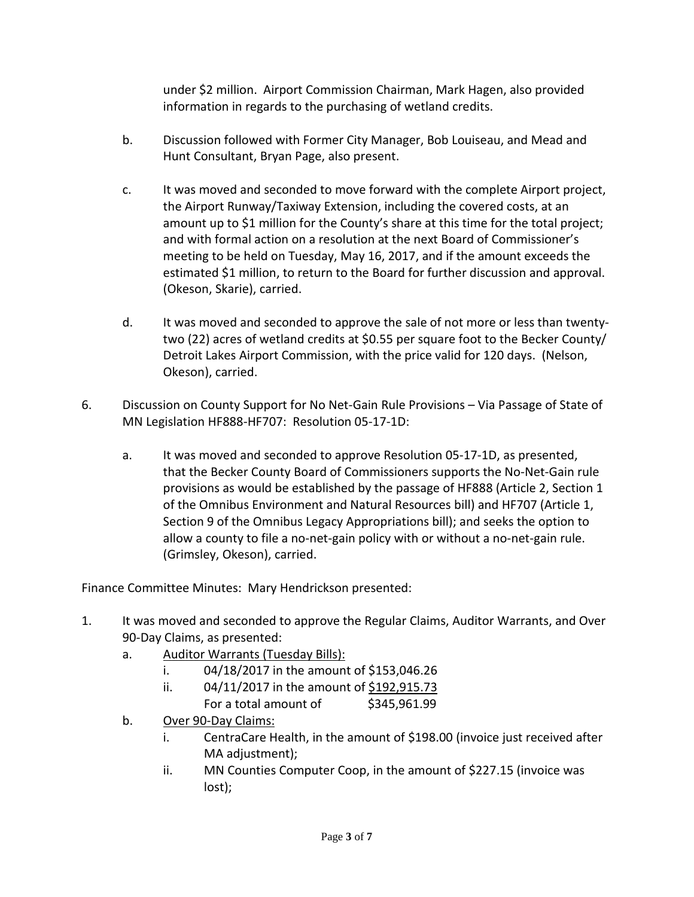under \$2 million. Airport Commission Chairman, Mark Hagen, also provided information in regards to the purchasing of wetland credits.

- b. Discussion followed with Former City Manager, Bob Louiseau, and Mead and Hunt Consultant, Bryan Page, also present.
- c. It was moved and seconded to move forward with the complete Airport project, the Airport Runway/Taxiway Extension, including the covered costs, at an amount up to \$1 million for the County's share at this time for the total project; and with formal action on a resolution at the next Board of Commissioner's meeting to be held on Tuesday, May 16, 2017, and if the amount exceeds the estimated \$1 million, to return to the Board for further discussion and approval. (Okeson, Skarie), carried.
- d. It was moved and seconded to approve the sale of not more or less than twentytwo (22) acres of wetland credits at \$0.55 per square foot to the Becker County/ Detroit Lakes Airport Commission, with the price valid for 120 days. (Nelson, Okeson), carried.
- 6. Discussion on County Support for No Net-Gain Rule Provisions Via Passage of State of MN Legislation HF888-HF707: Resolution 05-17-1D:
	- a. It was moved and seconded to approve Resolution 05-17-1D, as presented, that the Becker County Board of Commissioners supports the No-Net-Gain rule provisions as would be established by the passage of HF888 (Article 2, Section 1 of the Omnibus Environment and Natural Resources bill) and HF707 (Article 1, Section 9 of the Omnibus Legacy Appropriations bill); and seeks the option to allow a county to file a no-net-gain policy with or without a no-net-gain rule. (Grimsley, Okeson), carried.

Finance Committee Minutes: Mary Hendrickson presented:

- 1. It was moved and seconded to approve the Regular Claims, Auditor Warrants, and Over 90-Day Claims, as presented:
	- a. Auditor Warrants (Tuesday Bills):
		- i. 04/18/2017 in the amount of \$153,046.26
		- ii.  $04/11/2017$  in the amount of  $$192,915.73$ 
			- For a total amount of \$345,961.99
	- b. Over 90-Day Claims:
		- i. CentraCare Health, in the amount of \$198.00 (invoice just received after MA adjustment);
		- ii. MN Counties Computer Coop, in the amount of \$227.15 (invoice was lost);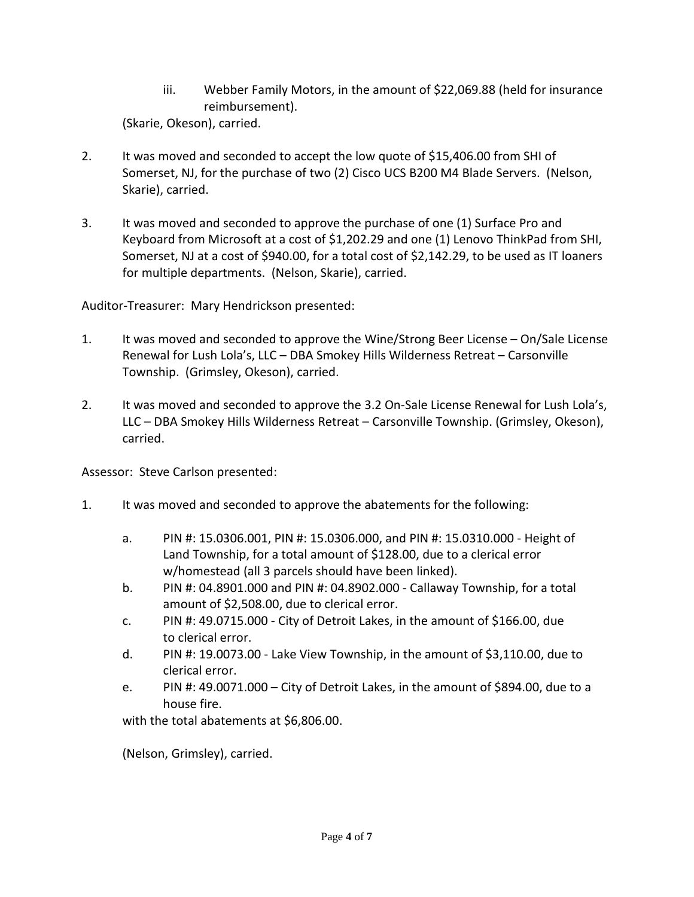iii. Webber Family Motors, in the amount of \$22,069.88 (held for insurance reimbursement).

(Skarie, Okeson), carried.

- 2. It was moved and seconded to accept the low quote of \$15,406.00 from SHI of Somerset, NJ, for the purchase of two (2) Cisco UCS B200 M4 Blade Servers. (Nelson, Skarie), carried.
- 3. It was moved and seconded to approve the purchase of one (1) Surface Pro and Keyboard from Microsoft at a cost of \$1,202.29 and one (1) Lenovo ThinkPad from SHI, Somerset, NJ at a cost of \$940.00, for a total cost of \$2,142.29, to be used as IT loaners for multiple departments. (Nelson, Skarie), carried.

Auditor-Treasurer: Mary Hendrickson presented:

- 1. It was moved and seconded to approve the Wine/Strong Beer License On/Sale License Renewal for Lush Lola's, LLC – DBA Smokey Hills Wilderness Retreat – Carsonville Township. (Grimsley, Okeson), carried.
- 2. It was moved and seconded to approve the 3.2 On-Sale License Renewal for Lush Lola's, LLC – DBA Smokey Hills Wilderness Retreat – Carsonville Township. (Grimsley, Okeson), carried.

Assessor: Steve Carlson presented:

- 1. It was moved and seconded to approve the abatements for the following:
	- a. PIN #: 15.0306.001, PIN #: 15.0306.000, and PIN #: 15.0310.000 Height of Land Township, for a total amount of \$128.00, due to a clerical error w/homestead (all 3 parcels should have been linked).
	- b. PIN #: 04.8901.000 and PIN #: 04.8902.000 Callaway Township, for a total amount of \$2,508.00, due to clerical error.
	- c. PIN #: 49.0715.000 City of Detroit Lakes, in the amount of \$166.00, due to clerical error.
	- d. PIN #: 19.0073.00 Lake View Township, in the amount of \$3,110.00, due to clerical error.
	- e. PIN #: 49.0071.000 City of Detroit Lakes, in the amount of \$894.00, due to a house fire.

with the total abatements at \$6,806.00.

(Nelson, Grimsley), carried.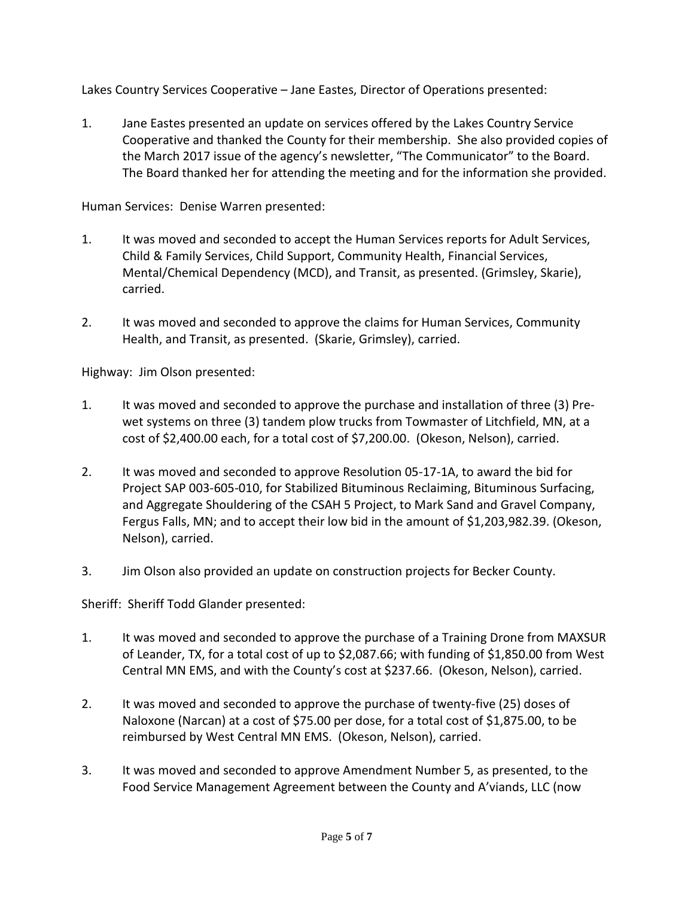Lakes Country Services Cooperative – Jane Eastes, Director of Operations presented:

1. Jane Eastes presented an update on services offered by the Lakes Country Service Cooperative and thanked the County for their membership. She also provided copies of the March 2017 issue of the agency's newsletter, "The Communicator" to the Board. The Board thanked her for attending the meeting and for the information she provided.

Human Services: Denise Warren presented:

- 1. It was moved and seconded to accept the Human Services reports for Adult Services, Child & Family Services, Child Support, Community Health, Financial Services, Mental/Chemical Dependency (MCD), and Transit, as presented. (Grimsley, Skarie), carried.
- 2. It was moved and seconded to approve the claims for Human Services, Community Health, and Transit, as presented. (Skarie, Grimsley), carried.

Highway: Jim Olson presented:

- 1. It was moved and seconded to approve the purchase and installation of three (3) Prewet systems on three (3) tandem plow trucks from Towmaster of Litchfield, MN, at a cost of \$2,400.00 each, for a total cost of \$7,200.00. (Okeson, Nelson), carried.
- 2. It was moved and seconded to approve Resolution 05-17-1A, to award the bid for Project SAP 003-605-010, for Stabilized Bituminous Reclaiming, Bituminous Surfacing, and Aggregate Shouldering of the CSAH 5 Project, to Mark Sand and Gravel Company, Fergus Falls, MN; and to accept their low bid in the amount of \$1,203,982.39. (Okeson, Nelson), carried.
- 3. Jim Olson also provided an update on construction projects for Becker County.

Sheriff: Sheriff Todd Glander presented:

- 1. It was moved and seconded to approve the purchase of a Training Drone from MAXSUR of Leander, TX, for a total cost of up to \$2,087.66; with funding of \$1,850.00 from West Central MN EMS, and with the County's cost at \$237.66. (Okeson, Nelson), carried.
- 2. It was moved and seconded to approve the purchase of twenty-five (25) doses of Naloxone (Narcan) at a cost of \$75.00 per dose, for a total cost of \$1,875.00, to be reimbursed by West Central MN EMS. (Okeson, Nelson), carried.
- 3. It was moved and seconded to approve Amendment Number 5, as presented, to the Food Service Management Agreement between the County and A'viands, LLC (now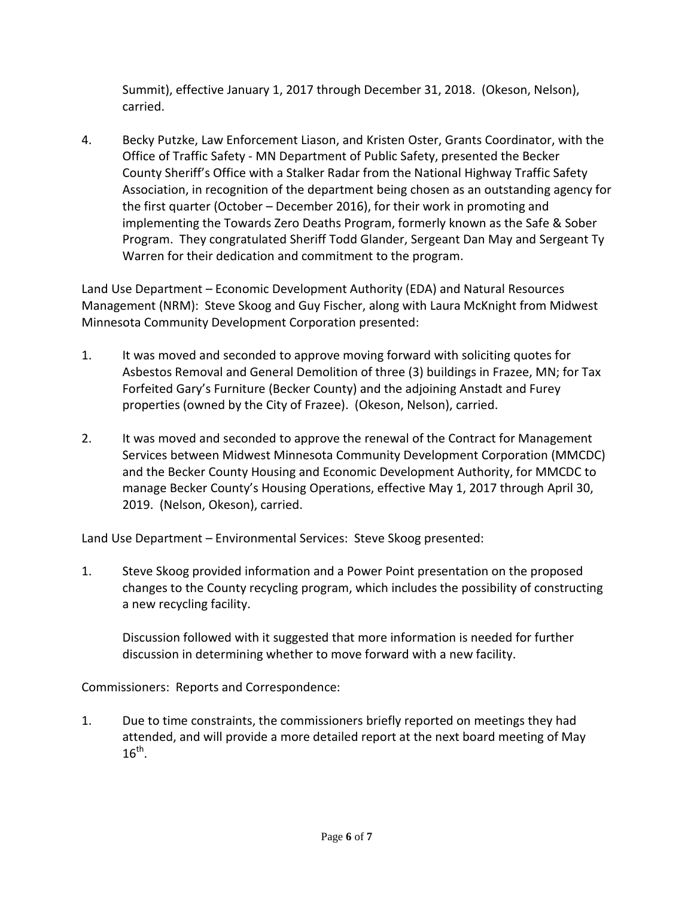Summit), effective January 1, 2017 through December 31, 2018. (Okeson, Nelson), carried.

4. Becky Putzke, Law Enforcement Liason, and Kristen Oster, Grants Coordinator, with the Office of Traffic Safety - MN Department of Public Safety, presented the Becker County Sheriff's Office with a Stalker Radar from the National Highway Traffic Safety Association, in recognition of the department being chosen as an outstanding agency for the first quarter (October – December 2016), for their work in promoting and implementing the Towards Zero Deaths Program, formerly known as the Safe & Sober Program. They congratulated Sheriff Todd Glander, Sergeant Dan May and Sergeant Ty Warren for their dedication and commitment to the program.

Land Use Department – Economic Development Authority (EDA) and Natural Resources Management (NRM): Steve Skoog and Guy Fischer, along with Laura McKnight from Midwest Minnesota Community Development Corporation presented:

- 1. It was moved and seconded to approve moving forward with soliciting quotes for Asbestos Removal and General Demolition of three (3) buildings in Frazee, MN; for Tax Forfeited Gary's Furniture (Becker County) and the adjoining Anstadt and Furey properties (owned by the City of Frazee). (Okeson, Nelson), carried.
- 2. It was moved and seconded to approve the renewal of the Contract for Management Services between Midwest Minnesota Community Development Corporation (MMCDC) and the Becker County Housing and Economic Development Authority, for MMCDC to manage Becker County's Housing Operations, effective May 1, 2017 through April 30, 2019. (Nelson, Okeson), carried.

Land Use Department – Environmental Services: Steve Skoog presented:

1. Steve Skoog provided information and a Power Point presentation on the proposed changes to the County recycling program, which includes the possibility of constructing a new recycling facility.

Discussion followed with it suggested that more information is needed for further discussion in determining whether to move forward with a new facility.

Commissioners: Reports and Correspondence:

1. Due to time constraints, the commissioners briefly reported on meetings they had attended, and will provide a more detailed report at the next board meeting of May  $16^{th}$ .